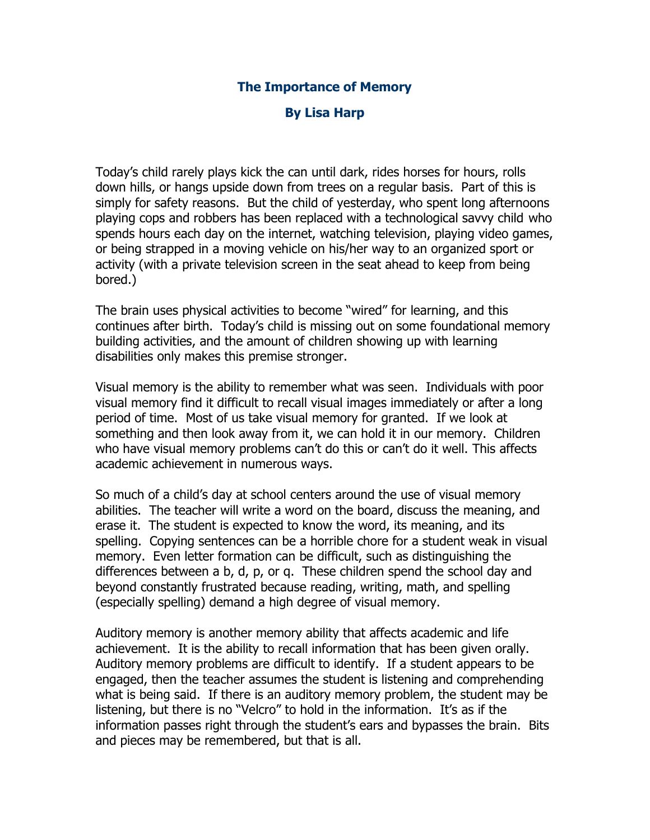## **The Importance of Memory**

## **By Lisa Harp**

Today's child rarely plays kick the can until dark, rides horses for hours, rolls down hills, or hangs upside down from trees on a regular basis. Part of this is simply for safety reasons. But the child of yesterday, who spent long afternoons playing cops and robbers has been replaced with a technological savvy child who spends hours each day on the internet, watching television, playing video games, or being strapped in a moving vehicle on his/her way to an organized sport or activity (with a private television screen in the seat ahead to keep from being bored.)

The brain uses physical activities to become "wired" for learning, and this continues after birth. Today's child is missing out on some foundational memory building activities, and the amount of children showing up with learning disabilities only makes this premise stronger.

Visual memory is the ability to remember what was seen. Individuals with poor visual memory find it difficult to recall visual images immediately or after a long period of time. Most of us take visual memory for granted. If we look at something and then look away from it, we can hold it in our memory. Children who have visual memory problems can't do this or can't do it well. This affects academic achievement in numerous ways.

So much of a child's day at school centers around the use of visual memory abilities. The teacher will write a word on the board, discuss the meaning, and erase it. The student is expected to know the word, its meaning, and its spelling. Copying sentences can be a horrible chore for a student weak in visual memory. Even letter formation can be difficult, such as distinguishing the differences between a b, d, p, or q. These children spend the school day and beyond constantly frustrated because reading, writing, math, and spelling (especially spelling) demand a high degree of visual memory.

Auditory memory is another memory ability that affects academic and life achievement. It is the ability to recall information that has been given orally. Auditory memory problems are difficult to identify. If a student appears to be engaged, then the teacher assumes the student is listening and comprehending what is being said. If there is an auditory memory problem, the student may be listening, but there is no "Velcro" to hold in the information. It's as if the information passes right through the student's ears and bypasses the brain. Bits and pieces may be remembered, but that is all.